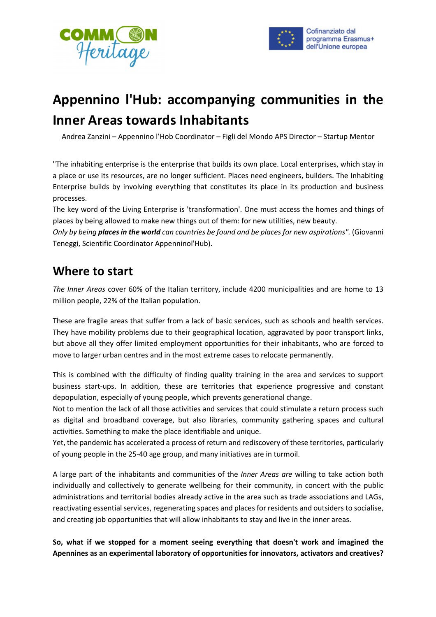



# **Appennino l'Hub: accompanying communities in the Inner Areas towards Inhabitants**

Andrea Zanzini – Appennino l'Hob Coordinator – Figli del Mondo APS Director – Startup Mentor

"The inhabiting enterprise is the enterprise that builds its own place. Local enterprises, which stay in a place or use its resources, are no longer sufficient. Places need engineers, builders. The Inhabiting Enterprise builds by involving everything that constitutes its place in its production and business processes.

The key word of the Living Enterprise is 'transformation'. One must access the homes and things of places by being allowed to make new things out of them: for new utilities, new beauty.

*Only by being places in the world can countries be found and be places for new aspirations".* (Giovanni Teneggi, Scientific Coordinator Appenninol'Hub).

#### **Where to start**

*The Inner Areas* cover 60% of the Italian territory, include 4200 municipalities and are home to 13 million people, 22% of the Italian population.

These are fragile areas that suffer from a lack of basic services, such as schools and health services. They have mobility problems due to their geographical location, aggravated by poor transport links, but above all they offer limited employment opportunities for their inhabitants, who are forced to move to larger urban centres and in the most extreme cases to relocate permanently.

This is combined with the difficulty of finding quality training in the area and services to support business start-ups. In addition, these are territories that experience progressive and constant depopulation, especially of young people, which prevents generational change.

Not to mention the lack of all those activities and services that could stimulate a return process such as digital and broadband coverage, but also libraries, community gathering spaces and cultural activities. Something to make the place identifiable and unique.

Yet, the pandemic has accelerated a process of return and rediscovery of these territories, particularly of young people in the 25-40 age group, and many initiatives are in turmoil.

A large part of the inhabitants and communities of the *Inner Areas are* willing to take action both individually and collectively to generate wellbeing for their community, in concert with the public administrations and territorial bodies already active in the area such as trade associations and LAGs, reactivating essential services, regenerating spaces and places for residents and outsiders to socialise, and creating job opportunities that will allow inhabitants to stay and live in the inner areas.

**So, what if we stopped for a moment seeing everything that doesn't work and imagined the Apennines as an experimental laboratory of opportunities for innovators, activators and creatives?**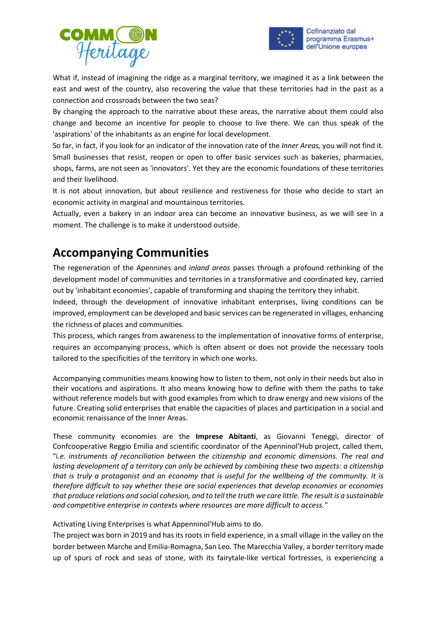



What if, instead of imagining the ridge as a marginal territory, we imagined it as a link between the east and west of the country, also recovering the value that these territories had in the past as a connection and crossroads between the two seas?

By changing the approach to the narrative about these areas, the narrative about them could also change and become an incentive for people to choose to live there. We can thus speak of the 'aspirations' of the inhabitants as an engine for local development.

So far, in fact, if you look for an indicator of the innovation rate of the *Inner Areas,* you will not find it. Small businesses that resist, reopen or open to offer basic services such as bakeries, pharmacies, shops, farms, are not seen as 'innovators'. Yet they are the economic foundations of these territories and their livelihood.

It is not about innovation, but about resilience and restiveness for those who decide to start an economic activity in marginal and mountainous territories.

Actually, even a bakery in an indoor area can become an innovative business, as we will see in a moment. The challenge is to make it understood outside.

## **Accompanying Communities**

The regeneration of the Apennines and *inland areas* passes through a profound rethinking of the development model of communities and territories in a transformative and coordinated key, carried out by 'inhabitant economies', capable of transforming and shaping the territory they inhabit.

Indeed, through the development of innovative inhabitant enterprises, living conditions can be improved, employment can be developed and basic services can be regenerated in villages, enhancing the richness of places and communities.

This process, which ranges from awareness to the implementation of innovative forms of enterprise, requires an accompanying process, which is often absent or does not provide the necessary tools tailored to the specificities of the territory in which one works.

Accompanying communities means knowing how to listen to them, not only in their needs but also in their vocations and aspirations. It also means knowing how to define with them the paths to take without reference models but with good examples from which to draw energy and new visions of the future. Creating solid enterprises that enable the capacities of places and participation in a social and economic renaissance of the Inner Areas.

These community economies are the **Imprese Abitanti**, as Giovanni Teneggi, director of Confcooperative Reggio Emilia and scientific coordinator of the Apenninol'Hub project, called them, "i*.e. instruments of reconciliation between the citizenship and economic dimensions. The real and lasting development of a territory can only be achieved by combining these two aspects: a citizenship that is truly a protagonist and an economy that is useful for the wellbeing of the community. It is therefore difficult to say whether these are social experiences that develop economies or economies that produce relations and social cohesion, and to tell the truth we care little. The result is a sustainable and competitive enterprise in contexts where resources are more difficult to access."* 

Activating Living Enterprises is what Appenninol'Hub aims to do.

The project was born in 2019 and has its roots in field experience, in a small village in the valley on the border between Marche and Emilia-Romagna, San Leo. The Marecchia Valley, a border territory made up of spurs of rock and seas of stone, with its fairytale-like vertical fortresses, is experiencing a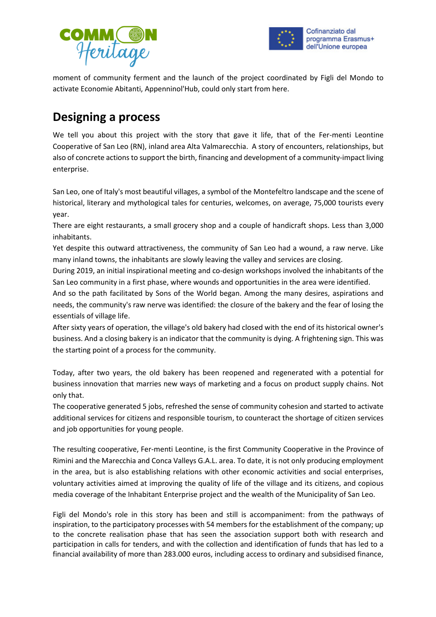



moment of community ferment and the launch of the project coordinated by Figli del Mondo to activate Economie Abitanti, Appenninol'Hub, could only start from here.

## **Designing a process**

We tell you about this project with the story that gave it life, that of the Fer-menti Leontine Cooperative of San Leo (RN), inland area Alta Valmarecchia. A story of encounters, relationships, but also of concrete actions to support the birth, financing and development of a community-impact living enterprise.

San Leo, one of Italy's most beautiful villages, a symbol of the Montefeltro landscape and the scene of historical, literary and mythological tales for centuries, welcomes, on average, 75,000 tourists every year.

There are eight restaurants, a small grocery shop and a couple of handicraft shops. Less than 3,000 inhabitants.

Yet despite this outward attractiveness, the community of San Leo had a wound, a raw nerve. Like many inland towns, the inhabitants are slowly leaving the valley and services are closing.

During 2019, an initial inspirational meeting and co-design workshops involved the inhabitants of the San Leo community in a first phase, where wounds and opportunities in the area were identified.

And so the path facilitated by Sons of the World began. Among the many desires, aspirations and needs, the community's raw nerve was identified: the closure of the bakery and the fear of losing the essentials of village life.

After sixty years of operation, the village's old bakery had closed with the end of its historical owner's business. And a closing bakery is an indicator that the community is dying. A frightening sign. This was the starting point of a process for the community.

Today, after two years, the old bakery has been reopened and regenerated with a potential for business innovation that marries new ways of marketing and a focus on product supply chains. Not only that.

The cooperative generated 5 jobs, refreshed the sense of community cohesion and started to activate additional services for citizens and responsible tourism, to counteract the shortage of citizen services and job opportunities for young people.

The resulting cooperative, Fer-menti Leontine, is the first Community Cooperative in the Province of Rimini and the Marecchia and Conca Valleys G.A.L. area. To date, it is not only producing employment in the area, but is also establishing relations with other economic activities and social enterprises, voluntary activities aimed at improving the quality of life of the village and its citizens, and copious media coverage of the Inhabitant Enterprise project and the wealth of the Municipality of San Leo.

Figli del Mondo's role in this story has been and still is accompaniment: from the pathways of inspiration, to the participatory processes with 54 members for the establishment of the company; up to the concrete realisation phase that has seen the association support both with research and participation in calls for tenders, and with the collection and identification of funds that has led to a financial availability of more than 283.000 euros, including access to ordinary and subsidised finance,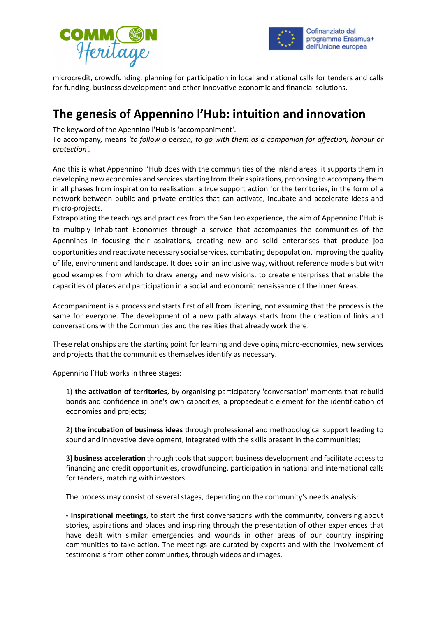



microcredit, crowdfunding, planning for participation in local and national calls for tenders and calls for funding, business development and other innovative economic and financial solutions.

#### **The genesis of Appennino l'Hub: intuition and innovation**

The keyword of the Apennino l'Hub is 'accompaniment'.

To accompany*,* means *'to follow a person, to go with them as a companion for affection, honour or protection'.* 

And this is what Appennino l'Hub does with the communities of the inland areas: it supports them in developing new economies and services starting from their aspirations, proposing to accompany them in all phases from inspiration to realisation: a true support action for the territories, in the form of a network between public and private entities that can activate, incubate and accelerate ideas and micro-projects.

Extrapolating the teachings and practices from the San Leo experience, the aim of Appennino l'Hub is to multiply Inhabitant Economies through a service that accompanies the communities of the Apennines in focusing their aspirations, creating new and solid enterprises that produce job opportunities and reactivate necessary social services, combating depopulation, improving the quality of life, environment and landscape. It does so in an inclusive way, without reference models but with good examples from which to draw energy and new visions, to create enterprises that enable the capacities of places and participation in a social and economic renaissance of the Inner Areas.

Accompaniment is a process and starts first of all from listening, not assuming that the process is the same for everyone. The development of a new path always starts from the creation of links and conversations with the Communities and the realities that already work there.

These relationships are the starting point for learning and developing micro-economies, new services and projects that the communities themselves identify as necessary.

Appennino l'Hub works in three stages:

1) **the activation of territories**, by organising participatory 'conversation' moments that rebuild bonds and confidence in one's own capacities, a propaedeutic element for the identification of economies and projects;

2) **the incubation of business ideas** through professional and methodological support leading to sound and innovative development, integrated with the skills present in the communities;

3**) business acceleration** through tools that support business development and facilitate access to financing and credit opportunities, crowdfunding, participation in national and international calls for tenders, matching with investors.

The process may consist of several stages, depending on the community's needs analysis:

**- Inspirational meetings**, to start the first conversations with the community, conversing about stories, aspirations and places and inspiring through the presentation of other experiences that have dealt with similar emergencies and wounds in other areas of our country inspiring communities to take action. The meetings are curated by experts and with the involvement of testimonials from other communities, through videos and images.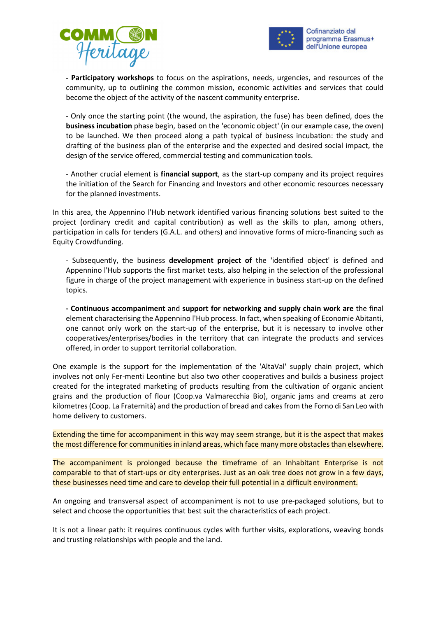



**- Participatory workshops** to focus on the aspirations, needs, urgencies, and resources of the community, up to outlining the common mission, economic activities and services that could become the object of the activity of the nascent community enterprise.

- Only once the starting point (the wound, the aspiration, the fuse) has been defined, does the **business incubation** phase begin, based on the 'economic object' (in our example case, the oven) to be launched. We then proceed along a path typical of business incubation: the study and drafting of the business plan of the enterprise and the expected and desired social impact, the design of the service offered, commercial testing and communication tools.

- Another crucial element is **financial support**, as the start-up company and its project requires the initiation of the Search for Financing and Investors and other economic resources necessary for the planned investments.

In this area, the Appennino l'Hub network identified various financing solutions best suited to the project (ordinary credit and capital contribution) as well as the skills to plan, among others, participation in calls for tenders (G.A.L. and others) and innovative forms of micro-financing such as Equity Crowdfunding.

- Subsequently, the business **development project of** the 'identified object' is defined and Appennino l'Hub supports the first market tests, also helping in the selection of the professional figure in charge of the project management with experience in business start-up on the defined topics.

**- Continuous accompaniment** and **support for networking and supply chain work are** the final element characterising the Appennino l'Hub process. In fact, when speaking of Economie Abitanti, one cannot only work on the start-up of the enterprise, but it is necessary to involve other cooperatives/enterprises/bodies in the territory that can integrate the products and services offered, in order to support territorial collaboration.

One example is the support for the implementation of the 'AltaVal' supply chain project, which involves not only Fer-menti Leontine but also two other cooperatives and builds a business project created for the integrated marketing of products resulting from the cultivation of organic ancient grains and the production of flour (Coop.va Valmarecchia Bio), organic jams and creams at zero kilometres (Coop. La Fraternità) and the production of bread and cakes from the Forno di San Leo with home delivery to customers.

Extending the time for accompaniment in this way may seem strange, but it is the aspect that makes the most difference for communities in inland areas, which face many more obstacles than elsewhere.

The accompaniment is prolonged because the timeframe of an Inhabitant Enterprise is not comparable to that of start-ups or city enterprises. Just as an oak tree does not grow in a few days, these businesses need time and care to develop their full potential in a difficult environment.

An ongoing and transversal aspect of accompaniment is not to use pre-packaged solutions, but to select and choose the opportunities that best suit the characteristics of each project.

It is not a linear path: it requires continuous cycles with further visits, explorations, weaving bonds and trusting relationships with people and the land.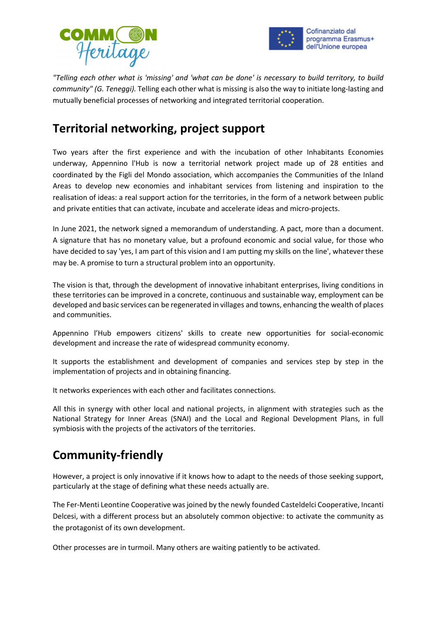



*"Telling each other what is 'missing' and 'what can be done' is necessary to build territory, to build community" (G. Teneggi).* Telling each other what is missing is also the way to initiate long-lasting and mutually beneficial processes of networking and integrated territorial cooperation.

## **Territorial networking, project support**

Two years after the first experience and with the incubation of other Inhabitants Economies underway, Appennino l'Hub is now a territorial network project made up of 28 entities and coordinated by the Figli del Mondo association, which accompanies the Communities of the Inland Areas to develop new economies and inhabitant services from listening and inspiration to the realisation of ideas: a real support action for the territories, in the form of a network between public and private entities that can activate, incubate and accelerate ideas and micro-projects.

In June 2021, the network signed a memorandum of understanding. A pact, more than a document. A signature that has no monetary value, but a profound economic and social value, for those who have decided to say 'yes, I am part of this vision and I am putting my skills on the line', whatever these may be. A promise to turn a structural problem into an opportunity.

The vision is that, through the development of innovative inhabitant enterprises, living conditions in these territories can be improved in a concrete, continuous and sustainable way, employment can be developed and basic services can be regenerated in villages and towns, enhancing the wealth of places and communities.

Appennino l'Hub empowers citizens' skills to create new opportunities for social-economic development and increase the rate of widespread community economy.

It supports the establishment and development of companies and services step by step in the implementation of projects and in obtaining financing.

It networks experiences with each other and facilitates connections.

All this in synergy with other local and national projects, in alignment with strategies such as the National Strategy for Inner Areas (SNAI) and the Local and Regional Development Plans, in full symbiosis with the projects of the activators of the territories.

## **Community-friendly**

However, a project is only innovative if it knows how to adapt to the needs of those seeking support, particularly at the stage of defining what these needs actually are.

The Fer-Menti Leontine Cooperative was joined by the newly founded Casteldelci Cooperative, Incanti Delcesi, with a different process but an absolutely common objective: to activate the community as the protagonist of its own development.

Other processes are in turmoil. Many others are waiting patiently to be activated.